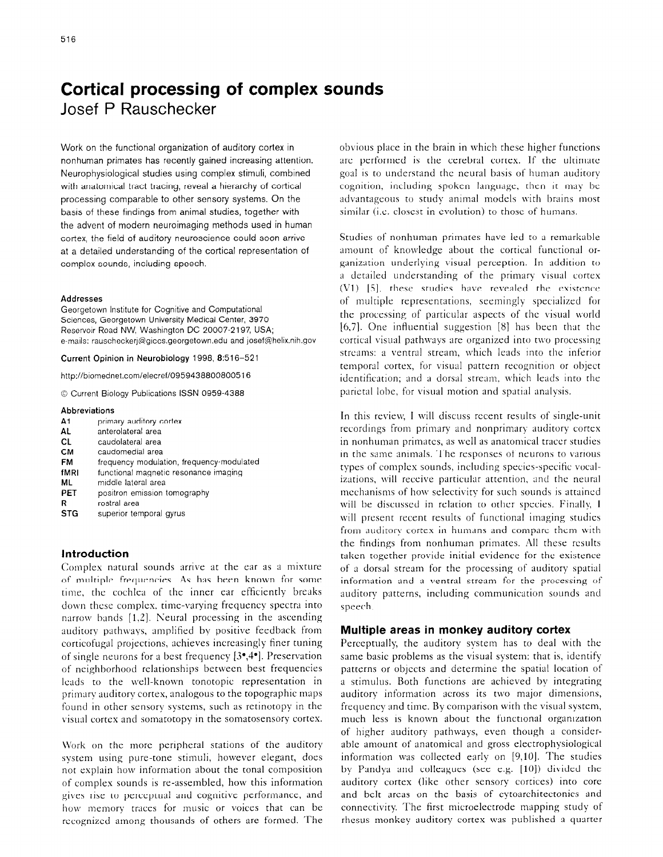# **Cortical processing of complex sounds**  Josef P Rauschecker

Work on the functional organization of auditory cortex in nonhuman primates has recently gained increasing attention. Neurophysiological studies using complex stimuli, combined with anatomical tract tracing, reveal a hierarchy of cortical processing comparable to other sensory systems. On the basis of these findings from animal studies, together with the advent of modern neuroimaging methods used in human cortex, the field of auditory neuroscience could soon arrive at a detailed understanding of the cortical representation of complex sounds, including speech.

#### Addresses

Georgetown Institute for Cognitive and Computational Sciences, Georgetown University Medical Center, 3970 Reservoir Road NW, Washington DC 20007-2197, USA; e-mails: rauscheckerj@giccs.georgetown.edu and josef@helix.nih.gov

Current Opinion **in Neurobiology** 1998, 8:516-521

http://biomednet.com/elecref/0959438800800516

0 Current Biology Publications ISSN 0959-4388

#### Abbreviations

- A1 primary auditory cortex
- AL anterolateral area
- CL caudolateral area
- CM caudomedial area
- FM frequency modulation, frequency-modulated
- fMRI functional magnetic resonance imaging
- ML middle lateral area
- PET positron emission tomography
- R rostral area
- STG superior temporal gyrus

#### **Introduction**

Complex natural sounds arrive at the ear as a mixture of multiple frequencies. As has been known for some time, the cochlea of the inner ear efficiently breaks down thcsc complex, time-varying frequency spectra into narrow bands  $[1,2]$ . Neural processing in the ascending auditory pathways, amplified by positive feedback from corticofugal projections, achieves increasingly finer tuning of single neurons for a best frequency [3\*,4\*]. Preservation of neighborhood relationships between best frequencies leads to the well-known tonotopic representation in primary auditory cortex, analogous to the topographic maps found in other sensory systems, such as retinotopy in the visual cortex and somatotopy in the somatosensory cortex.

Work on the more peripheral stations of the auditory system using pure-tone stimuli, however elegant, does not explain how information about the tonal composition of complex sounds is re-assembled, how this information gives rise to perceptual and cognitive performance, and how memory traces for music or voices that can be recognized among thousands of others are formed. The

obvious place in the brain in which these higher functions arc performed is the cerebral cortex. If the ultimate goal is to understand the neural basis of human auditory cognition, including spoken language, then it may be advantageous to study animal models with brains most similar (*i.e.* closest in evolution) to those of humans.

Studies of nonhuman primates have led to a remarkable amount of knowledge about the cortical functional organization underlying visual perception. In addition to a detailed understanding of the primary visual cortex (Vl) [S]. these studies have revealed the cxistcnce of multiple representations, seemingly specialized for the processing of particular aspects of the visual world [6,7]. One influential suggestion [8] has been that the cortical visual pathways are organized into two processing streams: a ventral stream, which leads into the inferior temporal cortex, for visual pattern recognition or object identification; and a dorsal stream, which leads into the parietal lobe, for visual motion and spatial analysis.

In this review, I will discuss recent results of single-unit recordings from primary and nonprimary auditory cortex in nonhuman primates, as well as anatomical tracer studies in the same animals. The responses of neurons to various types of complex sounds, including species-specific vocalizations, will receive particular attention, and the neural mechanisms of how selectivity for such sounds is attained wiII be discussed in relation to other species. Finally, I will present recent results of functional imaging studies from auditory cortex in humans and compare them with the findings from nonhuman primates. All these results taken together provide initial evidence for the existence of a dorsal stream for the processing of auditory spatial information and a ventral stream for the processing of auditory patterns, including communication sounds and speech.

#### **Multiple areas in monkey auditory cortex**

Perceptually, the auditory system has to deal with the same basic problems as the visual system: that is, identify patterns or objects and determine the spatial location of a stimulus. Both functions are achieved by integrating auditory information across its two major dimensions, frequency and time. By comparison with the visual system, much less is known about the functional organization of higher auditory pathways, even though a considerable amount of anatomical and gross electrophysiological information was collected early on [9,10]. The studies by Pandya and colleagues (see e.g. [10]) divided the auditory cortex (like other sensory cortices) into core and belt areas on the basis of cytoarchitectonics and connectivity. The first microelectrode mapping study of rhesus monkey auditory cortex was published a quarter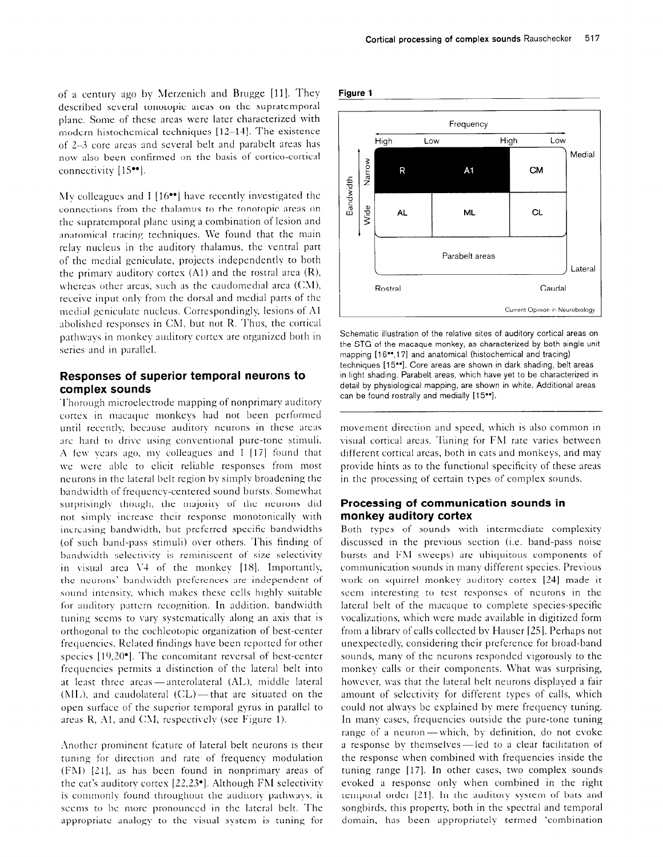of a century ago by Merzenich and Brugge [11]. They described several tonotopic areas on the supratemporal plane. Some of these areas were later characterized with modern histochemical techniques  $[12-14]$ . The existence of 2-R core areas and several belt and parabelt areas has now also been confirmed on the basis of cortico-cortical connectivity [15<sup>\*\*</sup>].

My colleagues and I  $[16\bullet]$  have recently investigated the connections from the thalamus to the tonotopic areas on the supratemporal plane using a combination of lesion and anatomical tracing techniques. We found that the main relay nucleus in the auditory thalamus, the ventral part of the medial gcniculate, projects independently to both the primary auditory cortex  $(A1)$  and the rostral area  $(R)$ , whereas other areas, such as the caudomedial area  $(CM)$ , receive input only from the dorsal and medial parts of the medial geniculate nucleus. Correspondingly, lesions of A1 abolished responses in CM, but not R. Thus, the cortical pathways in monkey auditory cortex are organized both in series and in parallel.

# **Responses of superior temporal neurons to complex sounds**

Thorough microelectrode mapping of nonprimary auditory cortex in macaque monkeys had not been performed until recently, because auditory neurons in these areas arc hard to drive using conventional pure-tone stimuli. A few years ago, my colleagues and I [17] found that we were able to elicit reliable responses from most neurons in the lateral belt region by simply broadening the band\vidth of frequency-centered sound bursts. Somewhat surprisingly though, the majority of the neurons did not simply increase their response monotonically with increasing bandwidth, but preferred specific bandwidths (of such band-pass stimuli) over others. This finding of bandwidth selectivity is reminiscent of size selectivity in visual area V4 of the monkey [18]. Importantly, the neurons' bandwidth preferences are independent of sound intensity, which makes these cells highly suitable for auditory pattern recognition. In addition, bandwidth tuning seems to vary systematically along an asis that is orthogonal to the cochleotopic organization of best-center frequencies. Related findings have been reported for other species  $[19,20^{\circ}]$ . The concomitant reversal of best-center frcqucncics permits a distinction of the lateral belt into at least three areas - anterolateral (AL), middle lateral  $(ML)$ , and caudolateral  $(CL)$ —that are situated on the open surface of the superior temporal gyrus in parallel to areas  $R$ , A1, and CM, respectively (see Figure 1).

Another prominent feature of lateral belt neurons is their tuning for direction and rate of frequency modulation (FM) [21], as has been found in nonprimary areas of the cat's auditory cortex  $[22,23]$ . Although FM selectivity is commonly found throughout the auditory pathways. it seems to bc more pronounced in the lateral belt. The appropriate analogy to the visual system is tuning for





Schematic illustration of the relative sites of auditory cortical areas on the STG of the macaque monkey, as characterized by both single-unit mapping [16\*\*,17] and anatomical (histochemical and tracing) techniques [15"]. Core areas are shown in dark shading, belt areas in light shading. Parabelt areas, which have yet to be characterized in detail by physiological mapping, are shown in white. Additional areas can be found rostrally and medially [15\*\*].

movement direction and speed, which is also common in visual cortical areas. Tuning for FM rate varies between different cortical arcas, both in cats and monkeys, and may provide hints as to the functional specificity of these areas in the processing of certain types of complex sounds.

### **Processing of communication sounds in monkey auditory cortex**

Both types of sounds with intermediate complexity discussed in the previous section (i.e. band-pass noise bursts and FM sweeps) are ubiquitous components of communication sounds in many different species. Previous work on squirrel monkey auditory cortex [24] made it seem interesting to test responses of neurons in the lateral belt of the macaque to complete species-specific vocalizations, which \vere made available in digitized form from a library of calls collected by Hauser [25]. Perhaps not unexpectedly considering their preference for broad-band sounds, many of the neurons responded vigorously to the monkey calls or their components. What was surprising, however, was that the lateral belt neurons displayed a fair amount of selectivity for different types of calls, which could not always be explained by mere frequency tuning. In many cases, frequencies outside the pure-tone tuning range of a neuron-which, by definition, do not evoke a response by themselves-led to a clear facilitation of the response when combined with frequencies inside the tuning range [17]. In other cases, two complex sounds evoked a response only when combined in the right temporal order [21]. In the auditory system of bats and songbirds, this property, both in the spectral and temporal domain. has been appropriately termed 'combination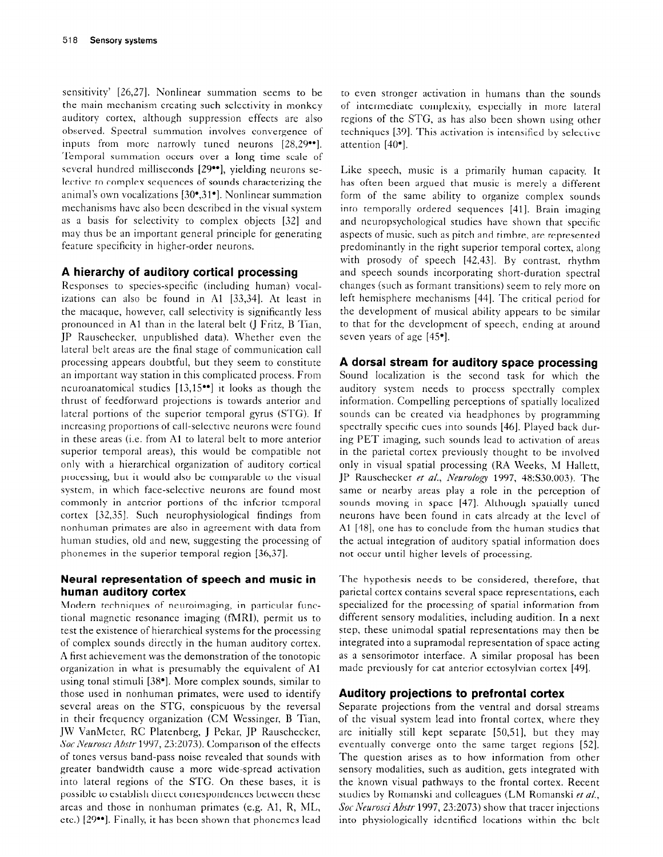sensitivity' [26,27]. Nonlinear summation seems to be the main mechanism creating such selectivity in monkey auditory cortex, although suppression effects are also observed. Spectral summation involves convergence of inputs from more narrowly tuned neurons [28,29<sup>.04</sup>]. Temporal summation occurs over a long time scale of several hundred milliseconds [29<sup>••</sup>], yielding neurons selective to complex sequences of sounds characterizing the animal's own vocalizations [30\*,31']. Nonlinear summation mechanisms have also been described in the visual system as a basis for selectivity to complex objects [32] and may thus be an important general principle for generating feature specificity in higher-order neurons.

# **A hierarchy of auditory cortical processing**

Responses to species-specific (including human) vocalizations can also be found in Al [33,34]. At least in the macaque, however, call selectivity is significantly less pronounced in Al than in the lateral belt (J Fritz, B Tian, JP Rauschecker, unpublished data). Whether even the lateral belt areas are the final stage of communication call processing appears doubtful, but they seem to constitute an important way station in this complicated process. From neuroanatomical studies  $[13,15\bullet]$  it looks as though the thrust of feedforward projections is towards anterior and lateral portions of the superior temporal gyrus (STG). If increasing proportions of call-selective neurons were found in these areas (i.e. from Al to lateral belt to more anterior superior temporal areas), this would be compatible not only with a hierarchical organization of auditory cortical processing, but it would also be comparable to the visual system, in which face-selective neurons are found most commonly in anterior portions of the inferior temporal cortex [32,35]. Such neurophysiological findings from nonhuman primates are also in agreement with data from human studies, old and new, suggesting the processing of phonemes in the superior temporal region [36,37].

# **Neural representation of speech and music in human auditory cortex**

Modern techniques of neuroimaging, in particular functional magnetic resonance imaging (fMRI), permit us to test the existence of hierarchical systems for the processing of complex sounds directly in the human auditory cortex. A first achievement was the demonstration of the tonotopic organization in what is presumably the equivalent of Al using tonal stimuli [38<sup>\*</sup>]. More complex sounds, similar to those used in nonhuman primates, were used to identify several areas on the STG, conspicuous by the reversal in their frequency organization (CM Wessinger, B Tian, JW VanMeter, RC Platenberg, J Pekar, JP Rauschecker, Sot *Newosci Abstr* 1997, 23:2073). Comparison of the effects of tones versus band-pass noise revealed that sounds with greater bandwidth cause a more wide-spread activation into lateral regions of the STG. On these bases, it is possible to establish direct correspondences between these areas and those in nonhuman primates (e.g. A1, R, ML, etc.) [29\*\*]. Finally, it has been shown that phonemes lead

to even stronger activation in humans than the sounds of intermediate complexity, especially in more lateral regions of the STG, as has also been shown using other techniques [39]. This activation is intensified by selective attention [40'].

Like speech, music is a primarily human capacity. It has often been argued that music is merely a different form of the same ability to organize complex sounds into temporally ordered sequences [41]. Brain imaging and neuropsychological studies have shown that specific aspects of music, such as pitch and timbre, are represented predominantly in the right superior temporal cortex, along with prosody of speech [42,43]. By contrast, rhythm and speech sounds incorporating short-duration spectral changes (such as formant transitions) seem to rely more on left hemisphere mechanisms [44]. The critical period for the development of musical ability appears to be similar to that for the development of speech, ending at around seven years of age [45\*].

# **A dorsal stream for auditory space processing**

Sound localization is the second task for which the auditory system needs to process spectrally complex information. Compelling perceptions of spatially localized sounds can be created via headphones by programming spectrally specific cues into sounds [46]. Played back during PET imaging, such sounds lead to activation of areas in the parietal cortex previously thought to be involved only in visual spatial processing (RA Weeks, M Hallett, JP Rauschecker et a/., Neurology 1997, 48:S30.003). The same or nearby areas play a role in the perception of sounds moving in space [47]. Although spatially tuned neurons have been found in cats already at the level of Al [48], one has to conclude from the human studies that the actual integration of auditory spatial information does not occur until higher levels of processing.

The hypothesis needs to be considered, therefore, that parietal cortex contains several space representations, each specialized for the processing of spatial information from different sensory modalities, including audition. In a next step, these unimodal spatial representations may then be integrated into a supramodal representation of space acting as a sensorimotor interface. A similar proposal has been made previously for cat anterior ectosylvian cortex [49].

# **Auditory projections to prefrontal cortex**

Separate projections from the ventral and dorsal streams of the visual system lead into frontal cortex, where they are initially still kept separate [SO,Sl], but they may eventually converge onto the same target regions [52]. The question arises as to how information from other sensory modalities, such as audition, gets integrated with the known visual pathways to the frontal cortex. Recent studies by Romanski and colleagues (LM Romanski et a/., Sot Yeurosci *Abstr* 1997, 23:2073) show that tracer injections into physiologically identified locations within the belt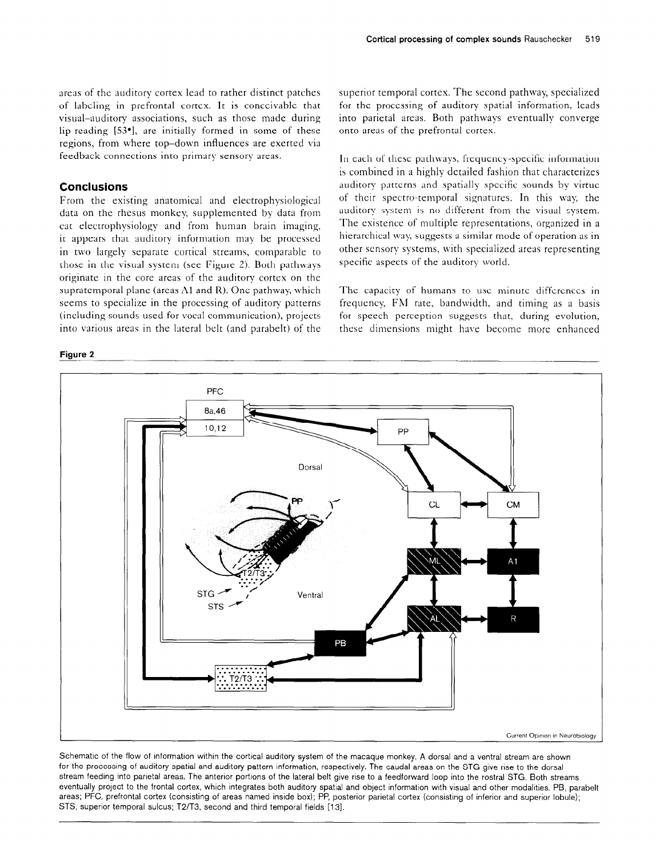areas of the auditory cortex lead to rather distinct patches of labeling in prefrontal cortex. It is conceivable that visual-auditory associations, such as those made during lip-reading  $[53<sup>*</sup>]$ , are initially formed in some of these regions, from where top-down influences are exerted via feedback connections into primary sensory areas.

### **Conclusions**

From the existing anatomical and electrophysiological data on the rhesus monkey, supplemented by data from cat electrophysiology and from human brain imaging, it appears that auditory information may be processed in two largely separate cortical streams, comparable to those in the visual system (see Figure 2). Both pathways originate in the core areas of the auditory cortex on the supratemporal plane (areas  $\Lambda$ 1 and R). One pathway, which seems to specialize in the processing of auditory patterns (including sounds used for vocal communication), projects into various areas in the lateral belt (and parabelt) of the

#### **Figure 2**

superior temporal cortex. The second pathway, specialized for the processing of auditory spatial information, leads into parietal areas. Both pathways eventually converge onto areas of the prefrontal cortex.

In each of these pathways, frequency-specific information is combined in a highly detailed fashion that characterizes auditory patterns and spatially specific sounds by virtue of their spectro-temporal signatures. In this way, the auditory system is no different from the visual system. The cxistencc of multiple representations, organized in a hierarchical way, suggests a similar mode of operation as in other sensory systems, with specialized areas representing specific aspects of the auditory world.

The capacity of humans to use minute differences in frequency, Fhl rate, bandwidth, and timing as a basis for speech perception suggests that, during evolution, these dimensions might have become more enhanced



Schematic of the flow of information within the cortical audltory system of the macaque monkey. A dorsal and a ventral stream are shown for the processing of auditory spatial and auditory pattern information, respectively. The caudal areas on the STG give rise to the dorsal stream feeding into parletal areas. The anterior portions of the lateral belt give rise to a feedforward loop into the rostra1 STG. Both streams eventually project to the frontal cortex, which integrates both auditory spatial and object information with visual and other modalities. PB, parabelt areas; PFC, prefrontal cortex (consisting of areas named inside box); PP, posterior parietal cortex (consisting of inferior and superior lobule); STS, superior temporal sulcus; T2/T3, second and third temporal fields [13].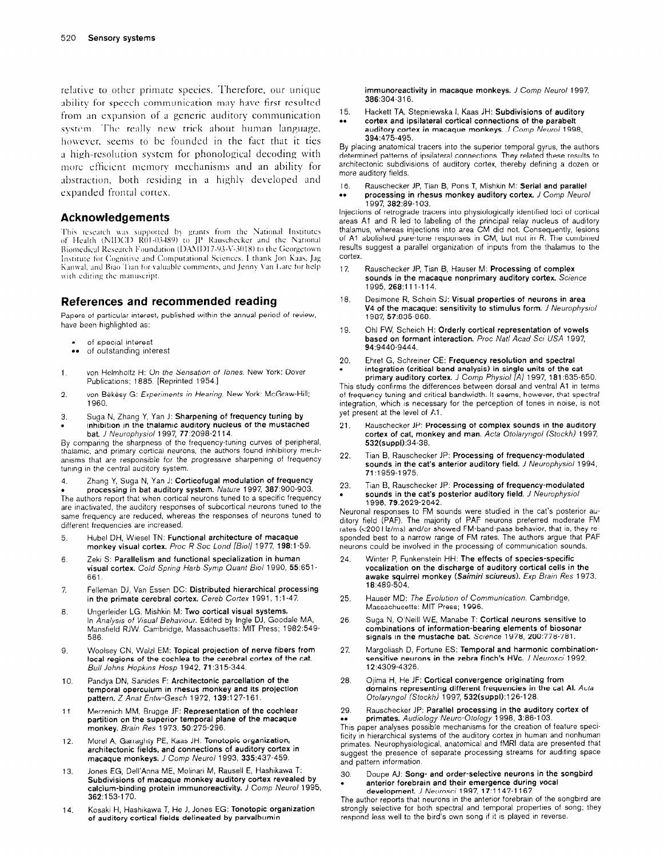relative to other primate species. Therefore, our unique ability for speech communication may have first resulted from an expansion of a generic auditory communication system. The really new trick about human language, however, seems to be founded in the fact that it ties a high-resolution system for phonological decoding with more efficient memory mechanisms and an ability for abstraction, both residing in a highly developed and expanded frontal cortex.

### **Acknowledgements**

This research was supported by grants from the National Institutes<br>of Health (NIDCD R01-03489) to JP Rauschecker and the National Biomedical Research Foundation (DAMD17-93-V-3018) to the Georgetown Institute for Cognitive and Computational Sciences. I thank Jon Kaas, Jag Kanwal, and Biao Tian for valuable comments, and Jenny Van Lare for help with editing the manuscript.

# **References and recommended reading**

Papers of particular interest, published within the annual period of review, have been highlighted as:

- of special interest
- of outstanding interest
- 1. von Helmholtz H: On the Sensation of Tones. New York: Dover Publications; 1885. [Reprinted 1954.1
- 2. von Békésy G: *Experiments in Hearing*. New York: McGraw-Hill; 1960.
- 3. Suga N, Zhang Y, Yan J: Sharpening of frequency tuning by . inhibition in the thalamic auditory nucleus of the mustached bat. *J Neurophysiol* 1997, 77:2098-2114.

By comparing the sharpness of the frequency-tuning curves of peripheral, thalamic, and primary cortical neurons, the authors found inhibitory mechanisms that are responsible for the progressive sharpening of frequency tuning in the central auditory system.

4. Zhang Y, Suga N, Yan J: Corticofugal modulation of frequency

**• processing in bat auditory system.** *Nature* 1997, **387**:900-903.<br>The authors report that when cortical neurons tuned to a specific frequenc are inactivated, the auditory responses of subcortical neurons tuned to the same frequency are reduced, whereas the responses of neurons tuned to different frequencies are increased.

- 5 Hubel DH, Wlesel TN: Functional architecture of macaque monkey visual cortex. Proc R Soc Lond [Biol] 1977, 198:1-59.
- 6. Zeki S: Parallelism and functional specialization in human visual cortex. Cold Spring *Harb Symp Quanf B/o/* 1990, 55:651- 661.
- $\overline{7}$ Fellernan DJ, Van Essen DC: Distributed hierarchical processing in the primate cerebral cortex. *Cereb Cortex* 1991, 1:1-47.
- 8. Ungerlelder LG, Mlshkin M: Two cortical visual systems. In *Analysis of Visual Behaviour*. Edited by Ingle DJ, Goodale MA, Mansfield RJW. Cambridge, Massachusetts: MIT Press; 1982:549-586.
- 9. Woolsey CN, Waizl EM: Topical projection of nerve fibers from local regions of the cochlea to the cerebral cortex of the cat. Bu// *Johns Hopkms Hasp* 1942, 71:315-344.
- 10. Pandya DN, Sanldes F: Architectonic parcellation of the temporal operculum in rhesus monkey and its projection pattern. Z Anat *Entw-Gesch* 1972, 139:127-l 61.
- 11. Merzenlch MM, Brugge JF: Representation of the cochlear partition on the superior temporal plane of the macaque monkey. *Brain Res 1973, 50:275-296.*
- 12. Morel A, Garraghty PE, Kaas JH: Tonotopic organization, architectonic fields, and connections of auditory cortex in macaque monkeys. *J Comp Neural* 1993, 335:437-459.
- 13. Jones EG, Dell'Anna ME, Molinari M, Rausell E, Hashikawa T: Subdivisions of macaque monkey auditory cortex revealed by calcium-binding protein immunoreactivity. *J Comp Neural* 1995, 362:153-l 70.
- 14. Kosaki H, Hashikawa T, He J, Jones EG: Tonotopic organization of auditory cortical fields delineated by parvalbumin

immunoreactivity in macaque monkeys. *J Comp Neural* 1997, 386:304-316.

- 15. Hackett TA, Stepniewska I, Kaas JH: Subdivisions of auditory
- . . cortex and ipsilateral cortical connections of the parabelt auditory cortex in macaque monkeys. *J Comp Neural 1998, 394:475-495.*

By placing anatomical tracers into the superior temporal gyrus, the authors determlned patterns of ipsllateral connectlons. They related these results to architectonic subdivislons of auditory cortex, thereby defining a dozen or more auditory fields.

16. Rauschecker JP, Tian B, Pons T, Mishkin M: Serial and parallel<br>•• processing in rhesus monkey auditory cortex. J Comp Neuro processing in rhesus monkey auditory cortex. *J Comp Neurol* 1997, 382:89-l 03.

Injections of retrograde tracers into physiologically identlfled loci of cortical areas A1 and R led to labeling of the principal relay nucleus of auditory thalamus, whereas injections into area CM did not. Consequently, lesions of Al abolished pure-tone responses in CM, but not in R. The combined results suggest a parallel organization of inputs from the thalamus to the cortex.

- 17. Rauschecker JP, Tian B, Hauser M: Processing of complex sounds in the macaque nonprimary auditory cortex. Science 1995,268:111-114.
- 18. Desimone R, Schein SJ: Visual properties of neurons in area V4 of the macaque: sensitivity to stimulus form. *J Neurophysfoi 1987, 57:835-868.*
- 19. Ohl FW, Scheich H: Orderly cortical representation of vowels based on formant interaction. Proc Natl Acad Sci USA 1997, 94:9440-9444.
- 20. Ehret G, Schreiner CE: Frequency resolution and spectral . integration (critical band analysis) in single units of the cat primary auditory cortex. J *Comp Physiol IA]* 1997, 181:635-650.

This study confirms the differences between dorsal and ventral Al in terms of frequency tuning and critical bandwidth. It seems, however, that spectral integration, which is necessary for the perception of tones in noise, is not yet present at the level of Al.

- 21. Rauschecker JP: Processing of complex sounds in the auditory cortex of cat, monkey and man. *Acta* Ololaryngol *(Stockh)* 1997, 532(suppl):34-38.
- 22. Tian B, Rauschecker JP: Processing of frequency-modulated sounds in the cat's anterior auditory field. *J Neurophysiol* 1994, 71 :1959-l 975.
- 23. Tian B, Rauschecker JP: Processing of frequency-modulated . sounds in the cat's posterior auditory field. *J Neurophyslol 1998, 79:2629-2642.*

Neuronal responses to FM sounds were studied in the cat's posterior auditory field (PAF). The majority of PAF neurons preferred moderate FM rates (<200 Hz/ms) and/or showed FM-band-pass behavior, that is, they responded best to a narrow range of FM rates. The authors argue that PAF neurons could be involved in the processing of communication sounds.

- 24. Winter P, Funkenstein HH: The effects of species-specific vocalization on the discharge of auditory cortical cells in the awake squirrel monkey (Saimiri sciureus). Exp Brain Res 1973, 18:489-504.
- 25. Hauser MD: *The Evolution of Communication. Cambridge*, Massachusetts: MIT Press; 1996.
- 26. Suga N, O'Neill WE, Manabe T: Cortical neurons sensitive to combinations of information-bearing elements of biosonar signals in the mustache bat. Science 1978, 200:778-781.
- 27. Margoliash D, Fortune ES: Temporal and harmonic combinationsensitive neurons in the zebra finch's HVc. *J Neurosci* 1992, 12:4309-4326.
- 28. Ojma H, He JF: Cortical convergence originating from domains representing different frequencies in the cat Al. *Acta*  Otolaryngol *(Stockh)* 1997, 532(suppl):126-128.
- 29. Rauschecker JP: Parallel processing in the auditory cortex of primates. *Audiology Neuro-Otoiogy* 1998, 3:86-i 03.

This paper analyses possible mechanisms for the creation of feature specificity in hierarchical systems of the auditory cortex in human and nonhuman primates. Neurophysiological, anatomical and fMRI data are presented that<br>suggest the presence of separate processing streams for auditing space and pattern information.

#### 30. Doupe AJ: Song- and order-selective neurons in the songbird anterior forebrain and their emergence during vocal development *J Neurosci* 1997, 17:l 147-l 167.

The author reports that neurons in the anterior forebrain of the songbird are strongly selective for both spectral and temporal properties of song; they respond less well to the bird's own song if it is played in reverse.